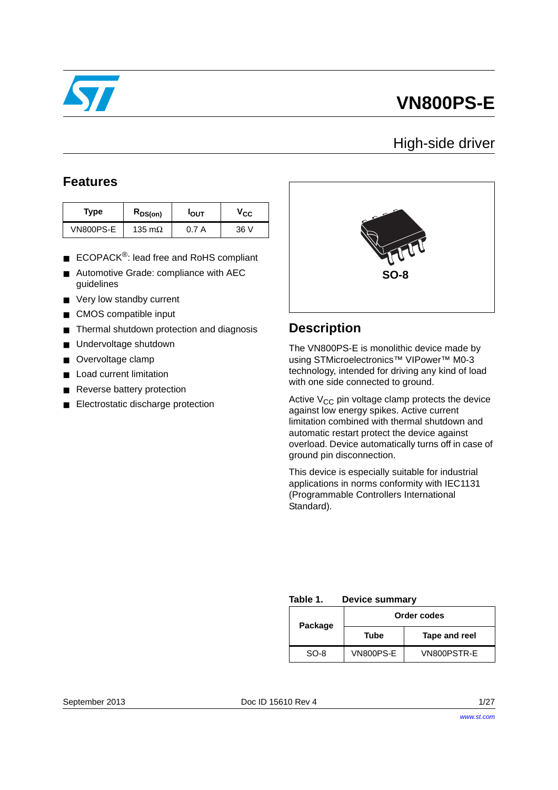

# **VN800PS-E**

# High-side driver

## <span id="page-0-2"></span>**Features**

| Type      | $R_{DS(on)}$   | <b>POUT</b> | Vcc  |
|-----------|----------------|-------------|------|
| VN800PS-E | 135 m $\Omega$ | 0.7 A       | 36 V |

- ECOPACK<sup>®</sup>: lead free and RoHS compliant
- Automotive Grade: compliance with AEC guidelines
- Very low standby current
- CMOS compatible input
- Thermal shutdown protection and diagnosis
- Undervoltage shutdown
- Overvoltage clamp
- Load current limitation
- Reverse battery protection
- Electrostatic discharge protection



## **Description**

The VN800PS-E is monolithic device made by using STMicroelectronics™ VIPower™ M0-3 technology, intended for driving any kind of load with one side connected to ground.

Active  $V_{CC}$  pin voltage clamp protects the device against low energy spikes. Active current limitation combined with thermal shutdown and automatic restart protect the device against overload. Device automatically turns off in case of ground pin disconnection.

This device is especially suitable for industrial applications in norms conformity with IEC1131 (Programmable Controllers International Standard).

#### <span id="page-0-0"></span>Table 1. **Device summary**

<span id="page-0-1"></span>

| Package | Order codes |               |  |
|---------|-------------|---------------|--|
|         | Tube        | Tape and reel |  |
| $SO-8$  | VN800PS-E   | VN800PSTR-E   |  |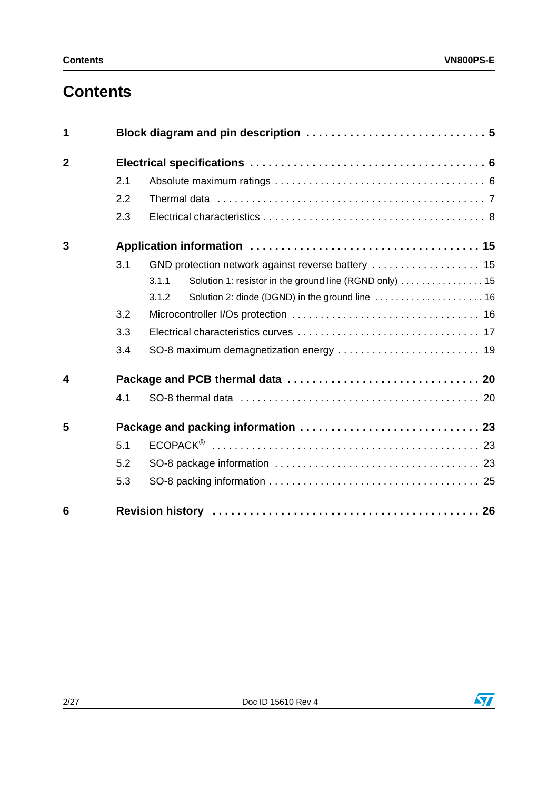# **Contents**

| 1                       |     |                                                                 |  |
|-------------------------|-----|-----------------------------------------------------------------|--|
| $\overline{2}$          |     |                                                                 |  |
|                         | 2.1 |                                                                 |  |
|                         | 2.2 |                                                                 |  |
|                         | 2.3 |                                                                 |  |
| 3                       |     |                                                                 |  |
|                         | 3.1 |                                                                 |  |
|                         |     | Solution 1: resistor in the ground line (RGND only) 15<br>3.1.1 |  |
|                         |     | 3.1.2                                                           |  |
|                         | 3.2 |                                                                 |  |
|                         | 3.3 |                                                                 |  |
|                         | 3.4 | SO-8 maximum demagnetization energy  19                         |  |
| $\overline{\mathbf{4}}$ |     |                                                                 |  |
|                         | 4.1 |                                                                 |  |
| 5                       |     |                                                                 |  |
|                         | 5.1 |                                                                 |  |
|                         | 5.2 |                                                                 |  |
|                         | 5.3 |                                                                 |  |
| 6                       |     |                                                                 |  |

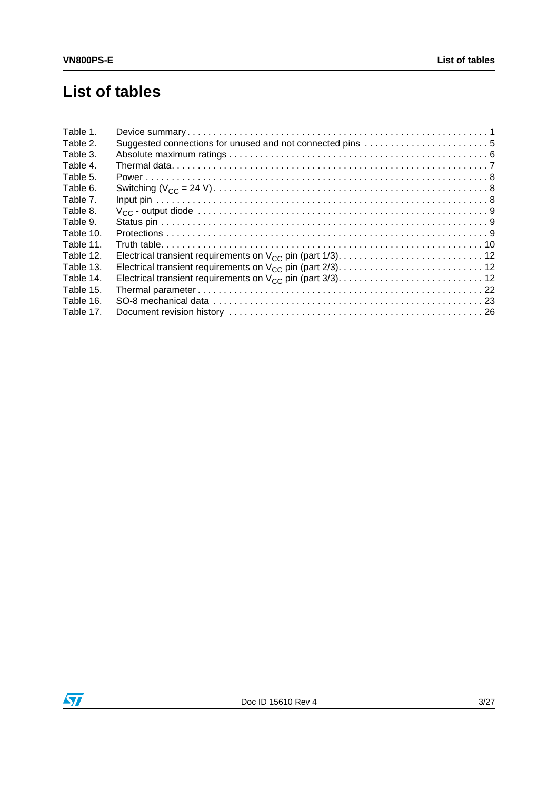# **List of tables**

| Table 1.  |  |
|-----------|--|
| Table 2.  |  |
| Table 3.  |  |
| Table 4.  |  |
| Table 5.  |  |
| Table 6.  |  |
| Table 7.  |  |
| Table 8.  |  |
| Table 9.  |  |
| Table 10. |  |
| Table 11. |  |
| Table 12. |  |
| Table 13. |  |
| Table 14. |  |
| Table 15. |  |
| Table 16. |  |
| Table 17. |  |
|           |  |

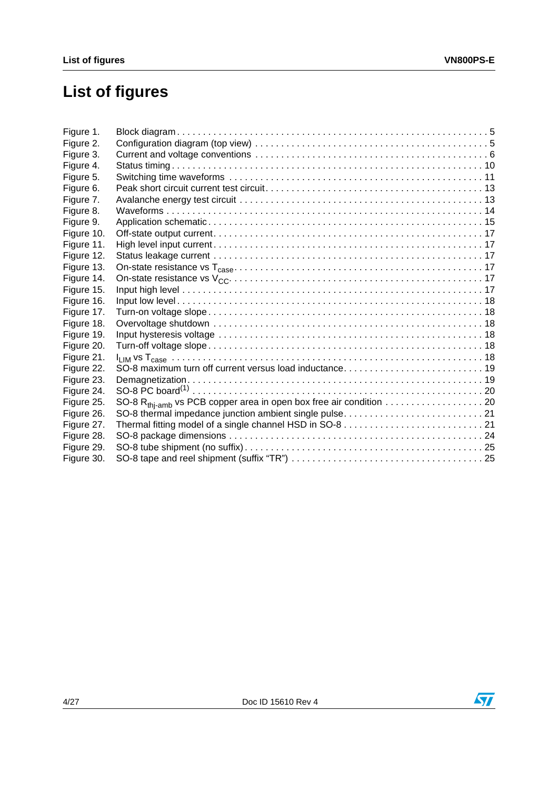# **List of figures**

| Figure 1.  |                                                         |  |
|------------|---------------------------------------------------------|--|
| Figure 2.  |                                                         |  |
| Figure 3.  |                                                         |  |
| Figure 4.  |                                                         |  |
| Figure 5.  |                                                         |  |
| Figure 6.  |                                                         |  |
| Figure 7.  |                                                         |  |
| Figure 8.  |                                                         |  |
| Figure 9.  |                                                         |  |
| Figure 10. |                                                         |  |
| Figure 11. |                                                         |  |
| Figure 12. |                                                         |  |
| Figure 13. |                                                         |  |
| Figure 14. |                                                         |  |
| Figure 15. |                                                         |  |
| Figure 16. |                                                         |  |
| Figure 17. |                                                         |  |
| Figure 18. |                                                         |  |
| Figure 19. |                                                         |  |
| Figure 20. |                                                         |  |
| Figure 21. |                                                         |  |
| Figure 22. | SO-8 maximum turn off current versus load inductance 19 |  |
| Figure 23. |                                                         |  |
| Figure 24. |                                                         |  |
| Figure 25. |                                                         |  |
| Figure 26. | SO-8 thermal impedance junction ambient single pulse 21 |  |
| Figure 27. |                                                         |  |
| Figure 28. |                                                         |  |
| Figure 29. |                                                         |  |
| Figure 30. |                                                         |  |

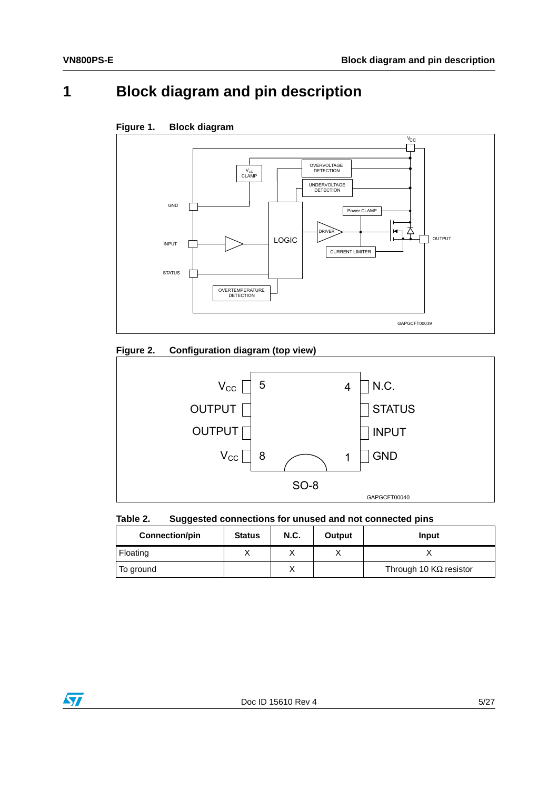# <span id="page-4-0"></span>**1 Block diagram and pin description**



<span id="page-4-2"></span>

### <span id="page-4-3"></span>**Figure 2. Configuration diagram (top view)**



### <span id="page-4-1"></span>**Table 2. Suggested connections for unused and not connected pins**

| <b>Connection/pin</b> | <b>Status</b> | <b>N.C.</b> | Output | Input                         |
|-----------------------|---------------|-------------|--------|-------------------------------|
| Floating              |               |             |        |                               |
| To ground             |               |             |        | Through 10 $K\Omega$ resistor |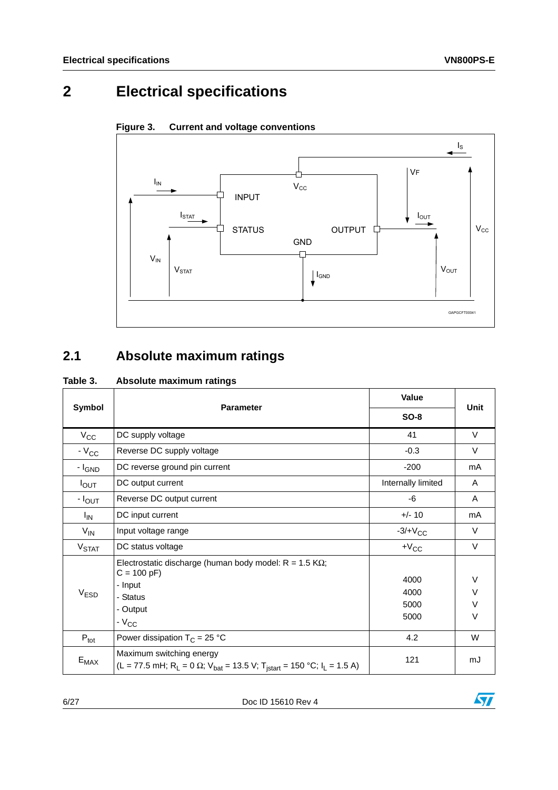# <span id="page-5-0"></span>**2 Electrical specifications**



### <span id="page-5-3"></span>**Figure 3. Current and voltage conventions**

# <span id="page-5-1"></span>**2.1 Absolute maximum ratings**

<span id="page-5-2"></span>

|  | Table 3. | Absolute maximum ratings |  |
|--|----------|--------------------------|--|
|--|----------|--------------------------|--|

|                        | <b>Parameter</b>                                                                                                                                 | <b>Value</b>                 | Unit                            |  |
|------------------------|--------------------------------------------------------------------------------------------------------------------------------------------------|------------------------------|---------------------------------|--|
| Symbol                 |                                                                                                                                                  | <b>SO-8</b>                  |                                 |  |
| $V_{\rm CC}$           | DC supply voltage                                                                                                                                | 41                           | V                               |  |
| $-V_{CC}$              | Reverse DC supply voltage                                                                                                                        | $-0.3$                       | $\vee$                          |  |
| - I <sub>GND</sub>     | DC reverse ground pin current                                                                                                                    | $-200$                       | mA                              |  |
| Ι <sub>Ουτ</sub>       | DC output current                                                                                                                                | Internally limited           | A                               |  |
| - I <sub>OUT</sub>     | Reverse DC output current                                                                                                                        | -6                           | A                               |  |
| $I_{IN}$               | DC input current                                                                                                                                 | $+/- 10$                     | mA                              |  |
| $V_{IN}$               | Input voltage range                                                                                                                              | $-3/+VCC$                    | V                               |  |
| V <sub>STAT</sub>      | DC status voltage                                                                                                                                | $+V_{CC}$                    | V                               |  |
| <b>V<sub>ESD</sub></b> | Electrostatic discharge (human body model: $R = 1.5 K\Omega$ ;<br>$C = 100 pF$<br>- Input<br>- Status<br>- Output<br>$-V_{CC}$                   | 4000<br>4000<br>5000<br>5000 | $\vee$<br>V<br>$\vee$<br>$\vee$ |  |
| $P_{\text{tot}}$       | Power dissipation $T_C = 25 °C$                                                                                                                  | 4.2                          | W                               |  |
| $E_{MAX}$              | Maximum switching energy<br>(L = 77.5 mH; R <sub>L</sub> = 0 Ω; V <sub>bat</sub> = 13.5 V; T <sub>istart</sub> = 150 °C; I <sub>L</sub> = 1.5 A) | 121                          | mJ                              |  |

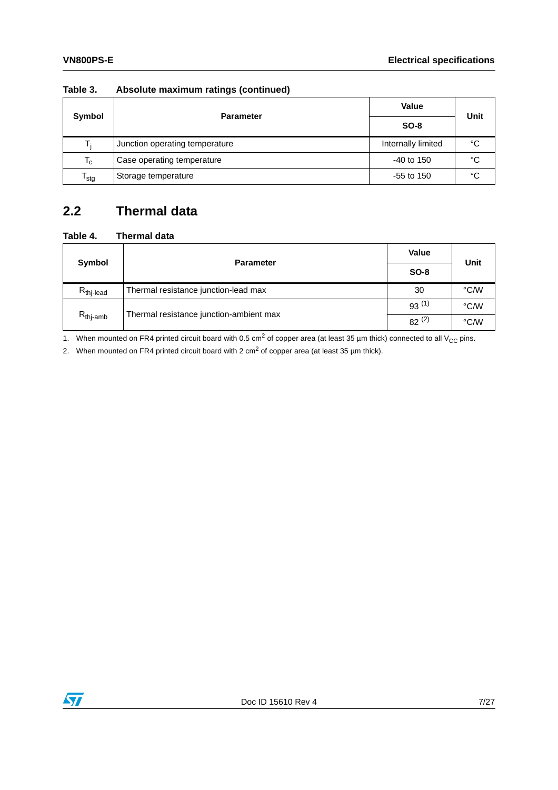|                             | <b>Parameter</b>               | Value              | Unit |  |
|-----------------------------|--------------------------------|--------------------|------|--|
| Symbol                      |                                | $SO-8$             |      |  |
| т.                          | Junction operating temperature | Internally limited | °C   |  |
| $T_c$                       | Case operating temperature     | $-40$ to 150       | °C   |  |
| $\mathsf{T}_{\mathsf{stg}}$ | Storage temperature            | $-55$ to 150       | °C   |  |

### **Table 3. Absolute maximum ratings (continued)**

## <span id="page-6-0"></span>**2.2 Thermal data**

### <span id="page-6-1"></span>**Table 4. Thermal data**

|                      | <b>Parameter</b>                        | <b>Value</b> | Unit          |  |
|----------------------|-----------------------------------------|--------------|---------------|--|
| Symbol               |                                         | $SO-8$       |               |  |
| $R_{\text{th}$ -lead | Thermal resistance junction-lead max    | 30           | °C/W          |  |
| $R_{\text{thj-amb}}$ |                                         | $93^{(1)}$   | °C/W          |  |
|                      | Thermal resistance junction-ambient max | $82^{(2)}$   | $\degree$ C/W |  |

1. When mounted on FR4 printed circuit board with 0.5 cm<sup>2</sup> of copper area (at least 35  $\mu$ m thick) connected to all V<sub>CC</sub> pins.

2. When mounted on FR4 printed circuit board with 2 cm<sup>2</sup> of copper area (at least 35 µm thick).

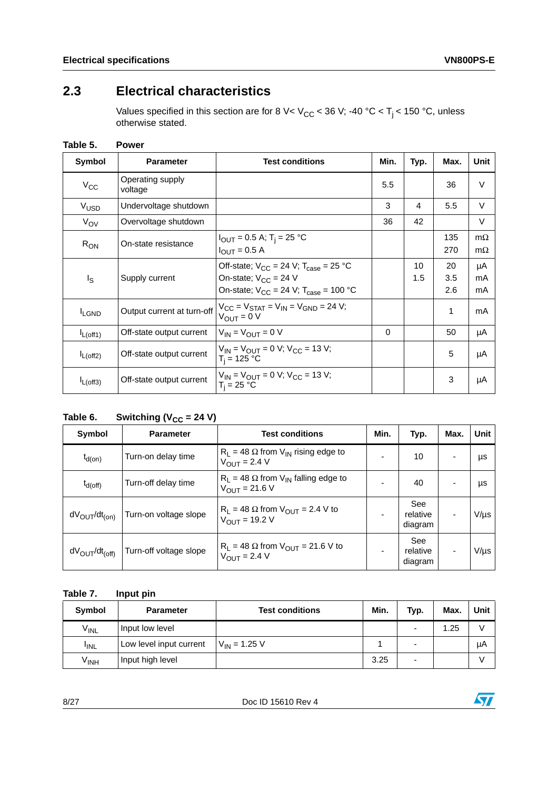# <span id="page-7-0"></span>**2.3 Electrical characteristics**

Values specified in this section are for 8 V< V<sub>CC</sub> < 36 V; -40 °C < T<sub>j</sub> < 150 °C, unless otherwise stated.

<span id="page-7-1"></span>

| Table 5. |  | <b>Power</b> |
|----------|--|--------------|
|----------|--|--------------|

| Symbol           | <b>Parameter</b>            | <b>Test conditions</b>                                                                                                                      | Min. | Typ.      | Max.             | Unit                   |
|------------------|-----------------------------|---------------------------------------------------------------------------------------------------------------------------------------------|------|-----------|------------------|------------------------|
| $V_{CC}$         | Operating supply<br>voltage |                                                                                                                                             | 5.5  |           | 36               | $\vee$                 |
| $V_{\text{USD}}$ | Undervoltage shutdown       |                                                                                                                                             | 3    | 4         | 5.5              | $\vee$                 |
| $V_{OV}$         | Overvoltage shutdown        |                                                                                                                                             | 36   | 42        |                  | $\vee$                 |
| $R_{ON}$         | On-state resistance         | $I_{OUT} = 0.5$ A; T <sub>i</sub> = 25 °C<br>$I_{\text{OUT}} = 0.5 \text{ A}$                                                               |      |           | 135<br>270       | $m\Omega$<br>$m\Omega$ |
| Is               | Supply current              | Off-state; $V_{CC}$ = 24 V; $T_{\text{case}}$ = 25 °C<br>On-state; $V_{CC} = 24$ V<br>On-state; $V_{CC}$ = 24 V; $T_{\text{case}}$ = 100 °C |      | 10<br>1.5 | 20<br>3.5<br>2.6 | μA<br>mA<br>mA         |
| <b>LGND</b>      | Output current at turn-off  | $V_{CC} = V_{STAT} = V_{IN} = V_{GND} = 24 V$ ;<br>$V_{\text{OUT}} = 0 V$                                                                   |      |           | 1                | mA                     |
| $I_{L(off1)}$    | Off-state output current    | $V_{IN} = V_{OUIT} = 0 V$                                                                                                                   | 0    |           | 50               | μA                     |
| $I_{L(off2)}$    | Off-state output current    | $V_{IN} = V_{OUIT} = 0$ V; $V_{CC} = 13$ V;<br>$T_i = 125 °C$                                                                               |      |           | 5                | μA                     |
| $I_{L(off3)}$    | Off-state output current    | $V_{IN} = V_{OUIT} = 0$ V; $V_{CC} = 13$ V;<br>$T_i = 25 °C$                                                                                |      |           | 3                | μA                     |

### <span id="page-7-2"></span>Table 6. Switching (V<sub>CC</sub> = 24 V)

| <b>Symbol</b>                       | <b>Parameter</b>       | <b>Test conditions</b>                                                                 | Min. | Typ.                       | Max.                     | Unit      |
|-------------------------------------|------------------------|----------------------------------------------------------------------------------------|------|----------------------------|--------------------------|-----------|
| $t_{d(on)}$                         | Turn-on delay time     | $R_1 = 48 \Omega$ from $V_{IN}$ rising edge to<br>$V_{OUIT} = 2.4 V$                   |      | 10                         | $\overline{\phantom{0}}$ | μs        |
| $t_{d(off)}$                        | Turn-off delay time    | $R_L$ = 48 $\Omega$ from $V_{IN}$ falling edge to<br>$V_{\text{OUT}} = 21.6 \text{ V}$ |      | 40                         | $\overline{\phantom{0}}$ | μs        |
| $dV_{OUT}/dt_{(on)}$                | Turn-on voltage slope  | $R_L$ = 48 $\Omega$ from $V_{OUT}$ = 2.4 V to<br>$V_{OUT} = 19.2 V$                    |      | See<br>relative<br>diagram | $\overline{\phantom{0}}$ | $V/\mu s$ |
| $dV_{\text{OUT}}/dt_{\text{(off)}}$ | Turn-off voltage slope | $R_L$ = 48 $\Omega$ from $V_{OUT}$ = 21.6 V to<br>$V_{\text{OUT}} = 2.4 V$             |      | See<br>relative<br>diagram |                          | $V/\mu s$ |

### <span id="page-7-3"></span>**Table 7. Input pin**

| Symbol           | <b>Parameter</b>        | <b>Test conditions</b> | Min. | Typ. | Max. | Unit |
|------------------|-------------------------|------------------------|------|------|------|------|
| $V_{INL}$        | Input low level         |                        |      |      | 1.25 |      |
| <sup>I</sup> INL | Low level input current | $V_{IN}$ = 1.25 V      |      |      |      | μA   |
| $V_{INH}$        | Input high level        |                        | 3.25 |      |      |      |

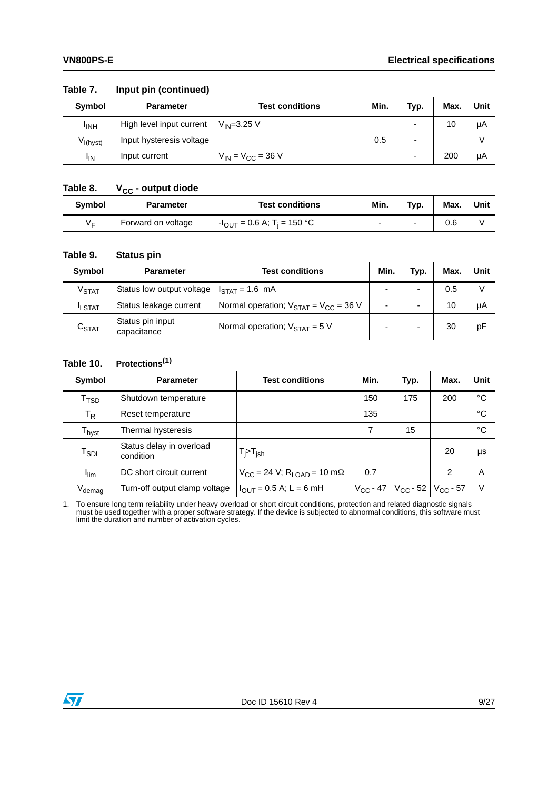| Input pin (continued)<br>Table 7. |  |
|-----------------------------------|--|
|-----------------------------------|--|

| Symbol               | <b>Parameter</b>         | <b>Test conditions</b>   | Min. | Typ. | Max. | Unit |
|----------------------|--------------------------|--------------------------|------|------|------|------|
| <sup>I</sup> INH     | High level input current | $V_{IN} = 3.25 V$        |      | -    | 10   | μA   |
| V <sub>I(hyst)</sub> | Input hysteresis voltage |                          | 0.5  |      |      |      |
| ΙIΝ                  | Input current            | $V_{IN} = V_{CC} = 36 V$ |      | -    | 200  | μA   |

### <span id="page-8-0"></span>Table 8. V<sub>CC</sub> - output diode

| <b>Symbol</b> | Parameter          | <b>Test conditions</b>                              | Min. | Typ. | Max. | Unit |
|---------------|--------------------|-----------------------------------------------------|------|------|------|------|
| ∨⊏            | Forward on voltage | $1-I_{\text{OUT}}$ = 0.6 A; T <sub>i</sub> = 150 °C |      |      | 0.6  |      |

### <span id="page-8-1"></span>**Table 9. Status pin**

| Symbol                       | <b>Parameter</b>                | <b>Test conditions</b>                                             | Min. | Typ. | Max. | Unit   |
|------------------------------|---------------------------------|--------------------------------------------------------------------|------|------|------|--------|
| V <sub>STAT</sub>            | Status low output voltage       | $I_{\text{STAT}}$ = 1.6 mA                                         |      | -    | 0.5  | $\vee$ |
| <b>LSTAT</b>                 | Status leakage current          | Normal operation; $V_{\text{STAT}} = V_{\text{CC}} = 36 \text{ V}$ |      |      | 10   | μA     |
| $\mathsf{C}_{\mathsf{STAT}}$ | Status pin input<br>capacitance | Normal operation; $V_{\text{STAT}} = 5 \text{ V}$                  |      |      | 30   | рF     |

### <span id="page-8-2"></span>**Table 10. Protections(1)**

| Symbol                       | <b>Parameter</b>                      | <b>Test conditions</b>                                    | Min.          | Typ.              | Max.          | Unit |
|------------------------------|---------------------------------------|-----------------------------------------------------------|---------------|-------------------|---------------|------|
| $\mathsf{T}_{\mathsf{TSD}}$  | Shutdown temperature                  |                                                           | 150           | 175               | 200           | °C   |
| $T_R$                        | Reset temperature                     |                                                           | 135           |                   |               | °C   |
| $\mathsf{T}_{\mathsf{hyst}}$ | Thermal hysteresis                    |                                                           | 7             | 15                |               | °C   |
| $T_{SDL}$                    | Status delay in overload<br>condition | $T_i$ > $T_{ish}$                                         |               |                   | 20            | μs   |
| <sup>l</sup> lim             | DC short circuit current              | $V_{\text{CC}}$ = 24 V; R <sub>LOAD</sub> = 10 m $\Omega$ | 0.7           |                   | 2             | A    |
| V <sub>demag</sub>           | Turn-off output clamp voltage         | $I_{\text{OUT}} = 0.5$ A; L = 6 mH                        | $V_{CC}$ - 47 | $V_{\rm CC}$ - 52 | $V_{CC}$ - 57 | V    |

1. To ensure long term reliability under heavy overload or short circuit conditions, protection and related diagnostic signals must be used together with a proper software strategy. If the device is subjected to abnormal conditions, this software must limit the duration and number of activation cycles.

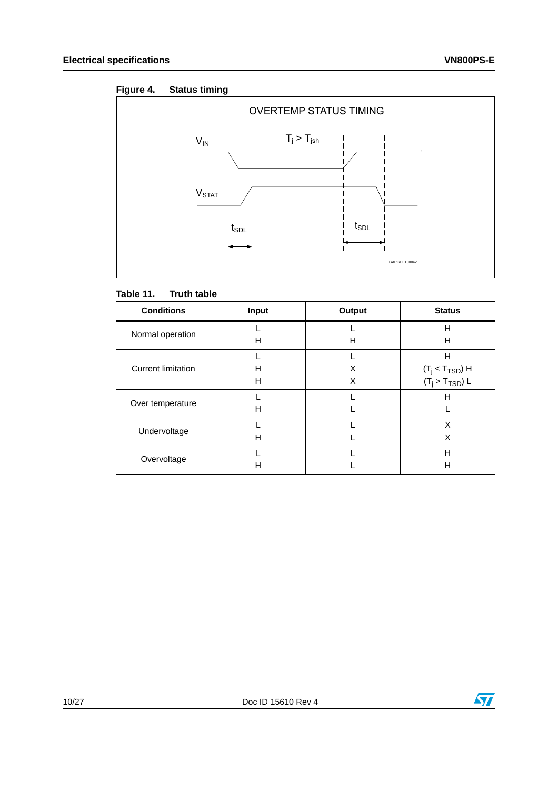### <span id="page-9-1"></span>**Figure 4. Status timing**



#### <span id="page-9-0"></span>Table 11. **Truth table**

| <b>Conditions</b>         | Input | Output | <b>Status</b>                                            |
|---------------------------|-------|--------|----------------------------------------------------------|
| Normal operation          |       |        | H                                                        |
|                           | н     | н      | н                                                        |
|                           |       |        | н                                                        |
| <b>Current limitation</b> | н     | X      |                                                          |
|                           | H     | X      | $(T_j < T_{\text{TSD}})$ H<br>$(T_j > T_{\text{TSD}})$ L |
|                           |       |        | н                                                        |
| Over temperature          | н     |        |                                                          |
| Undervoltage              |       |        | X                                                        |
|                           | н     |        | X                                                        |
|                           |       |        | н                                                        |
| Overvoltage               | н     |        | н                                                        |

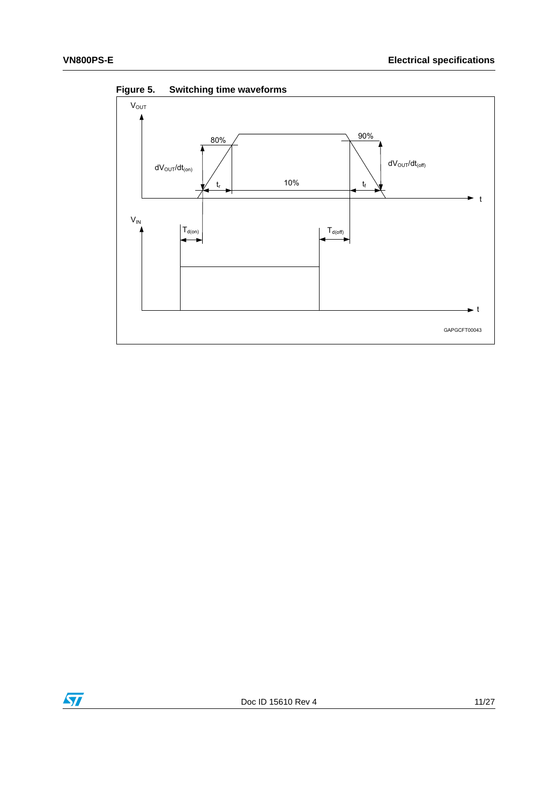

<span id="page-10-0"></span>**Figure 5. Switching time waveforms**

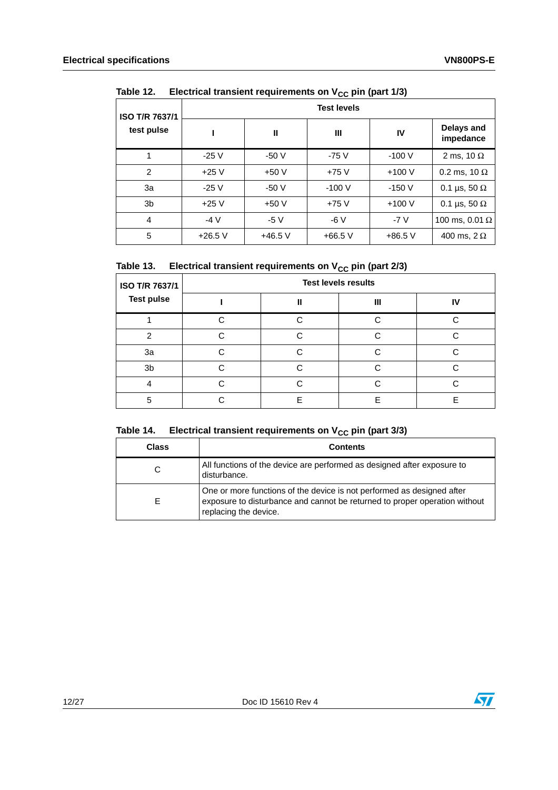| <b>ISO T/R 7637/1</b> | <b>Test levels</b> |              |          |          |                         |  |  |
|-----------------------|--------------------|--------------|----------|----------|-------------------------|--|--|
| test pulse            |                    | $\mathbf{I}$ | Ш        | IV       | Delays and<br>impedance |  |  |
| 1                     | $-25V$             | $-50V$       | $-75V$   | $-100V$  | 2 ms, 10 $\Omega$       |  |  |
| 2                     | $+25V$             | $+50V$       | $+75V$   | $+100V$  | 0.2 ms, 10 $\Omega$     |  |  |
| 3a                    | $-25V$             | $-50V$       | $-100V$  | $-150V$  | 0.1 µs, 50 $\Omega$     |  |  |
| 3 <sub>b</sub>        | $+25V$             | $+50V$       | $+75V$   | $+100V$  | 0.1 µs, 50 $\Omega$     |  |  |
| $\overline{4}$        | $-4V$              | $-5V$        | $-6V$    | $-7V$    | 100 ms, 0.01 $\Omega$   |  |  |
| 5                     | $+26.5$ V          | $+46.5$ V    | $+66.5V$ | $+86.5V$ | 400 ms, $2 \Omega$      |  |  |

<span id="page-11-0"></span>Table 12. **Electrical transient requirements on V<sub>CC</sub> pin (part 1/3)** 

<span id="page-11-1"></span>

| Table 13. | Electrical transient requirements on $V_{CC}$ pin (part 2/3) |
|-----------|--------------------------------------------------------------|
|-----------|--------------------------------------------------------------|

| ISO T/R 7637/1    | <b>Test levels results</b> |   |   |    |  |  |
|-------------------|----------------------------|---|---|----|--|--|
| <b>Test pulse</b> |                            | Ш | Ш | IV |  |  |
|                   | ⌒                          |   | ◠ |    |  |  |
| າ                 |                            |   |   |    |  |  |
| 3a                | ⌒                          |   |   |    |  |  |
| 3 <sub>b</sub>    |                            |   | ⌒ |    |  |  |
|                   |                            |   |   |    |  |  |
| 5                 |                            |   | ᆮ | ┍  |  |  |

<span id="page-11-2"></span>

| Table 14. | Electrical transient requirements on $V_{CC}$ pin (part 3/3) |
|-----------|--------------------------------------------------------------|
|-----------|--------------------------------------------------------------|

| Class | <b>Contents</b>                                                                                                                                                               |
|-------|-------------------------------------------------------------------------------------------------------------------------------------------------------------------------------|
| С     | All functions of the device are performed as designed after exposure to<br>disturbance.                                                                                       |
| E     | One or more functions of the device is not performed as designed after<br>exposure to disturbance and cannot be returned to proper operation without<br>replacing the device. |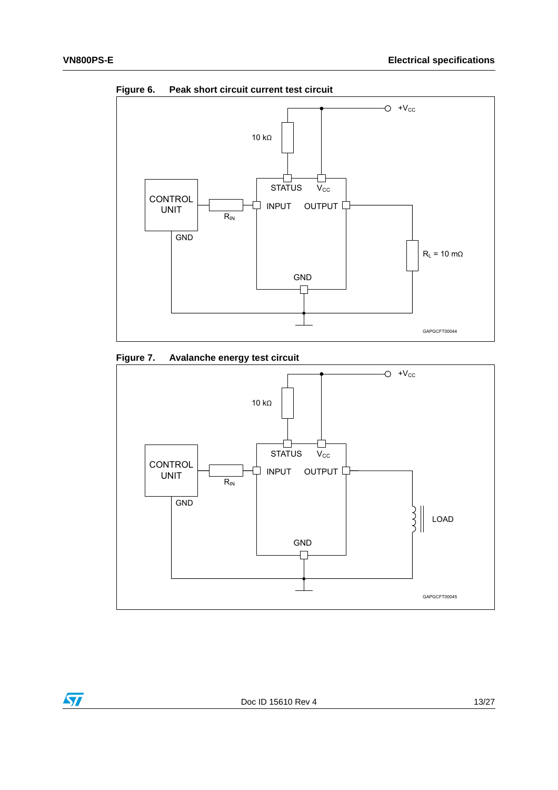

<span id="page-12-0"></span>**Figure 6. Peak short circuit current test circuit**

<span id="page-12-1"></span>



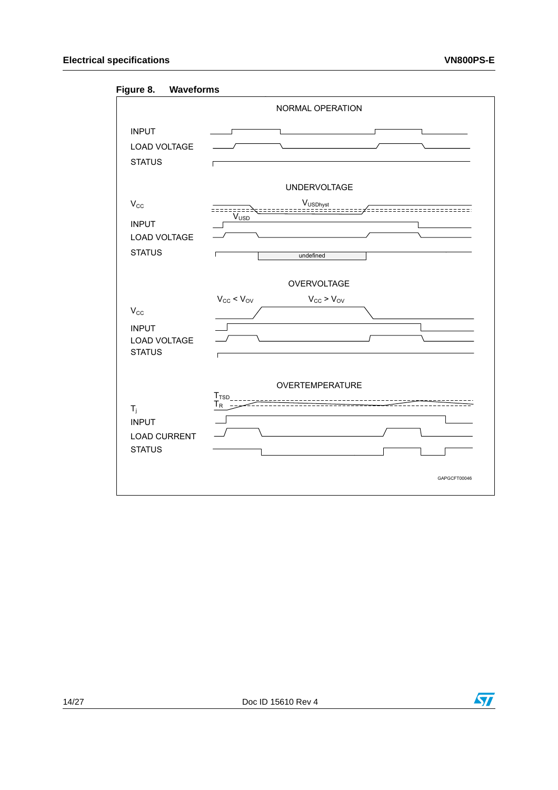### <span id="page-13-0"></span>**Figure 8. Waveforms**



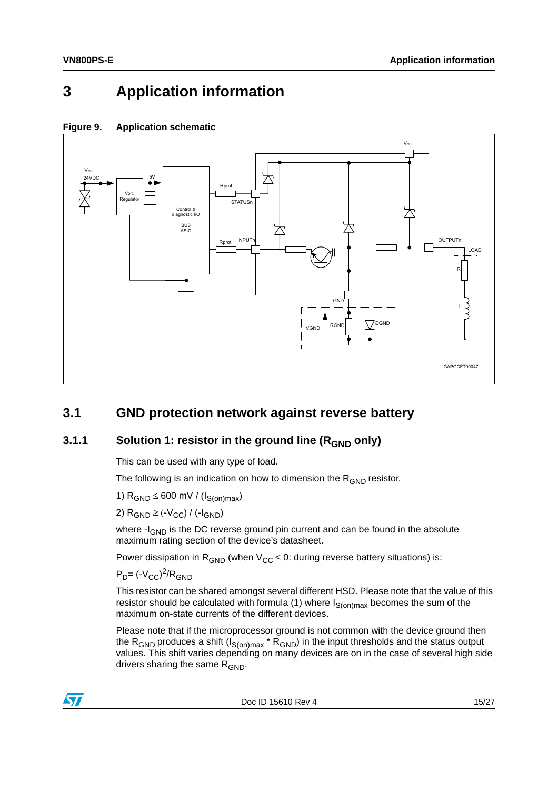# <span id="page-14-0"></span>**3 Application information**



### <span id="page-14-3"></span>**Figure 9. Application schematic**

## <span id="page-14-1"></span>**3.1 GND protection network against reverse battery**

### <span id="page-14-2"></span>**3.1.1** Solution 1: resistor in the ground line (R<sub>GND</sub> only)

This can be used with any type of load.

The following is an indication on how to dimension the  $R_{GND}$  resistor.

1)  $R_{GND}$  ≤ 600 mV / ( $I_{S(on)max}$ )

2)  $R_{GND}$  ≥ (- $V_{CC}$ ) / (- $I_{GND}$ )

where  $-I_{GND}$  is the DC reverse ground pin current and can be found in the absolute maximum rating section of the device's datasheet.

Power dissipation in  $R_{GND}$  (when  $V_{CC}$  < 0: during reverse battery situations) is:

 $P_D$ = (- $V_{CC}$ )<sup>2</sup>/R<sub>GND</sub>

This resistor can be shared amongst several different HSD. Please note that the value of this resistor should be calculated with formula (1) where  $I_{S(on)max}$  becomes the sum of the maximum on-state currents of the different devices.

Please note that if the microprocessor ground is not common with the device ground then the R<sub>GND</sub> produces a shift ( $I_{S(on)max}$ <sup>\*</sup> R<sub>GND</sub>) in the input thresholds and the status output values. This shift varies depending on many devices are on in the case of several high side drivers sharing the same  $R_{GND}$ .



Doc ID 15610 Rev 4 15/27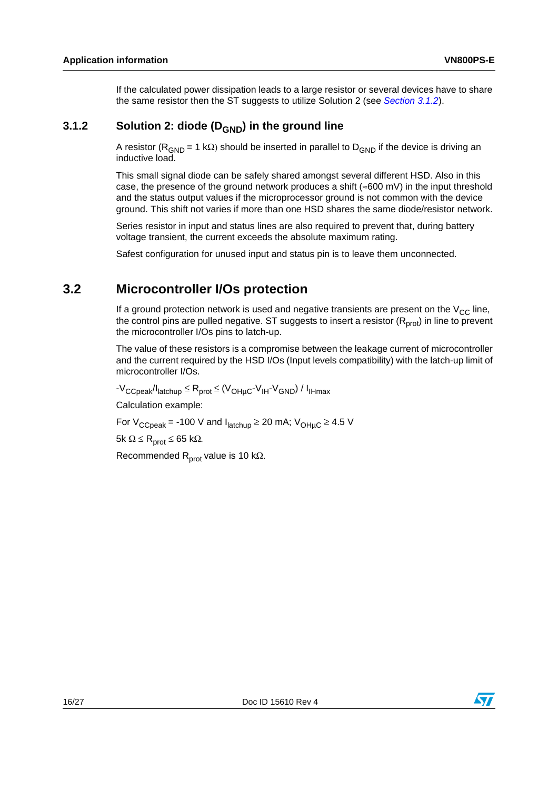If the calculated power dissipation leads to a large resistor or several devices have to share the same resistor then the ST suggests to utilize Solution 2 (see *[Section 3.1.2](#page-15-0)*).

### <span id="page-15-0"></span>**3.1.2** Solution 2: diode (D<sub>GND</sub>) in the ground line

A resistor ( $R_{GND}$  = 1 kΩ) should be inserted in parallel to  $D_{GND}$  if the device is driving an inductive load.

This small signal diode can be safely shared amongst several different HSD. Also in this case, the presence of the ground network produces a shift  $\approx 600$  mV) in the input threshold and the status output values if the microprocessor ground is not common with the device ground. This shift not varies if more than one HSD shares the same diode/resistor network.

Series resistor in input and status lines are also required to prevent that, during battery voltage transient, the current exceeds the absolute maximum rating.

Safest configuration for unused input and status pin is to leave them unconnected.

## <span id="page-15-1"></span>**3.2 Microcontroller I/Os protection**

If a ground protection network is used and negative transients are present on the  $V_{CC}$  line, the control pins are pulled negative. ST suggests to insert a resistor  $(R<sub>prot</sub>)$  in line to prevent the microcontroller I/Os pins to latch-up.

The value of these resistors is a compromise between the leakage current of microcontroller and the current required by the HSD I/Os (Input levels compatibility) with the latch-up limit of microcontroller I/Os.

 $-V_{\text{CCpeak}}/I_{\text{latchup}} \leq R_{\text{prot}} \leq (V_{\text{OH}\mu\text{C}} \cdot V_{\text{IH}} \cdot V_{\text{GND}}) / I_{\text{IHmax}}$ 

Calculation example:

For  $V_{\text{CCpeak}}$  = -100 V and  $I_{\text{latchup}} \ge 20$  mA;  $V_{\text{OHUC}} \ge 4.5$  V

5k  $\Omega$  ≤ R<sub>prot</sub> ≤ 65 k $\Omega$ .

Recommended  $R_{prot}$  value is 10 kΩ.

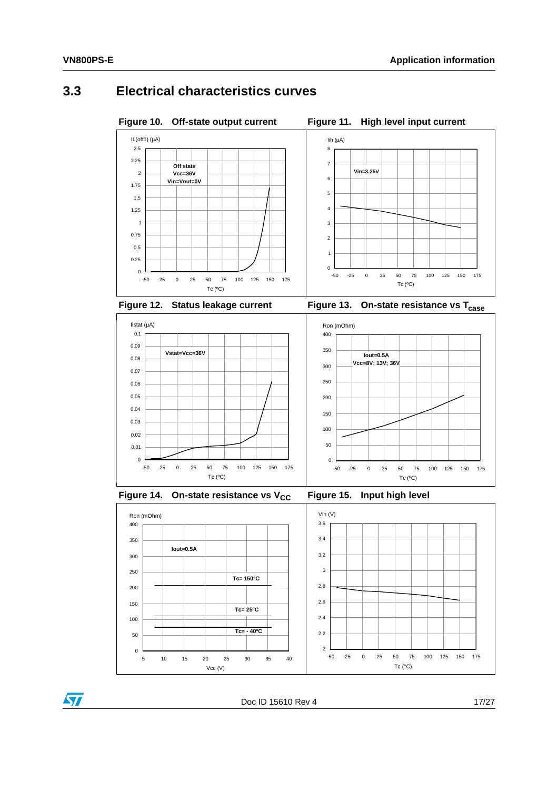## <span id="page-16-0"></span>**3.3 Electrical characteristics curves**

<span id="page-16-1"></span>Figure 10. Off-state output current Figure 11. High level input current

<span id="page-16-2"></span>



<span id="page-16-3"></span>

<span id="page-16-4"></span>

<span id="page-16-5"></span>

**Iout=0.5A**

Vcc (V)

**Tc= 25ºC**

**Tc= 150ºC**

<span id="page-16-6"></span>



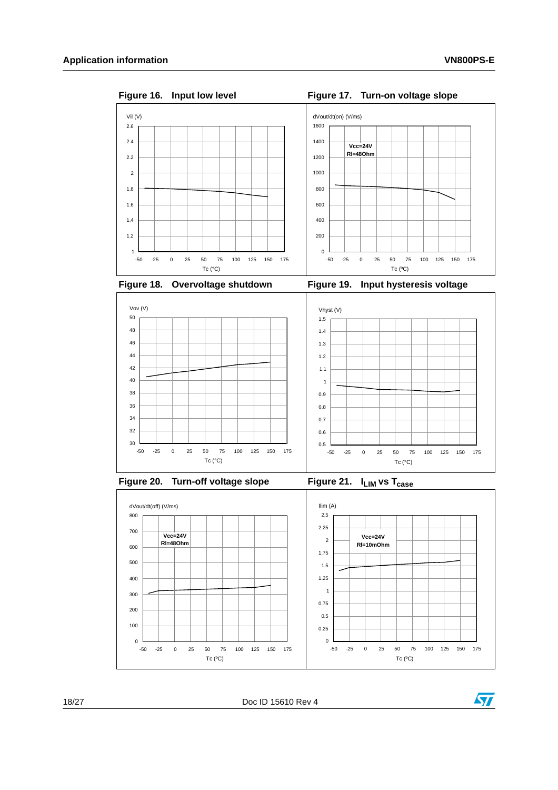

<span id="page-17-0"></span>

<span id="page-17-1"></span>



<span id="page-17-2"></span>

<span id="page-17-3"></span>

<span id="page-17-4"></span>

Tc (ºC)

<span id="page-17-5"></span>



18/27 Doc ID 15610 Rev 4



dVout/dt(off) (V/ms)

**Vcc=24V Rl=48Ohm**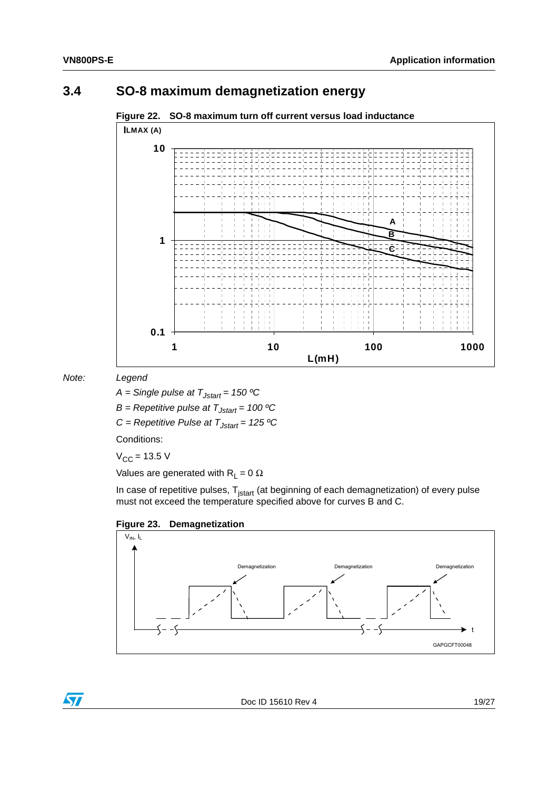## <span id="page-18-0"></span>**3.4 SO-8 maximum demagnetization energy**

<span id="page-18-1"></span>**Figure 22. SO-8 maximum turn off current versus load inductance**



*Note: Legend*

*A = Single pulse at TJstart = 150 ºC*

*B = Repetitive pulse at TJstart = 100 ºC*

*C = Repetitive Pulse at TJstart = 125 ºC*

Conditions:

 $V_{CC}$  = 13.5 V

Values are generated with  $R_1 = 0 \Omega$ 

In case of repetitive pulses, T<sub>jstart</sub> (at beginning of each demagnetization) of every pulse must not exceed the temperature specified above for curves B and C.

### <span id="page-18-2"></span>**Figure 23. Demagnetization**



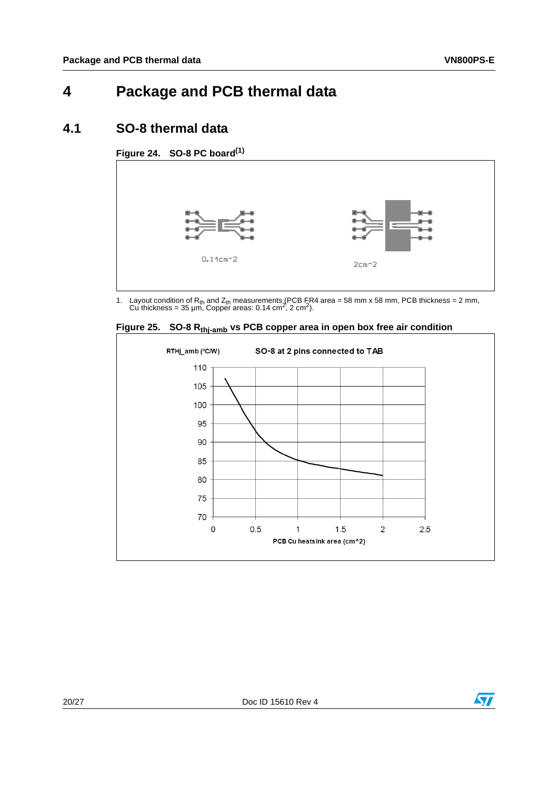# <span id="page-19-0"></span>**4 Package and PCB thermal data**

## <span id="page-19-1"></span>**4.1 SO-8 thermal data**

<span id="page-19-2"></span>**Figure 24. SO-8 PC boar[d\(1\)](#page-19-4)**



<span id="page-19-4"></span>1. Layout condition of R<sub>th</sub> and Z<sub>th</sub> measurements (PCB FR4 area = 58 mm x 58 mm, PCB thickness = 2 mm, Cu thickness = 2 mm, Cu thickness = 35 µm, Copper areas: 0.14 cm<sup>2</sup>, 2 cm<sup>2</sup>).



<span id="page-19-3"></span>Figure 25. SO-8 R<sub>thi-amb</sub> vs PCB copper area in open box free air condition

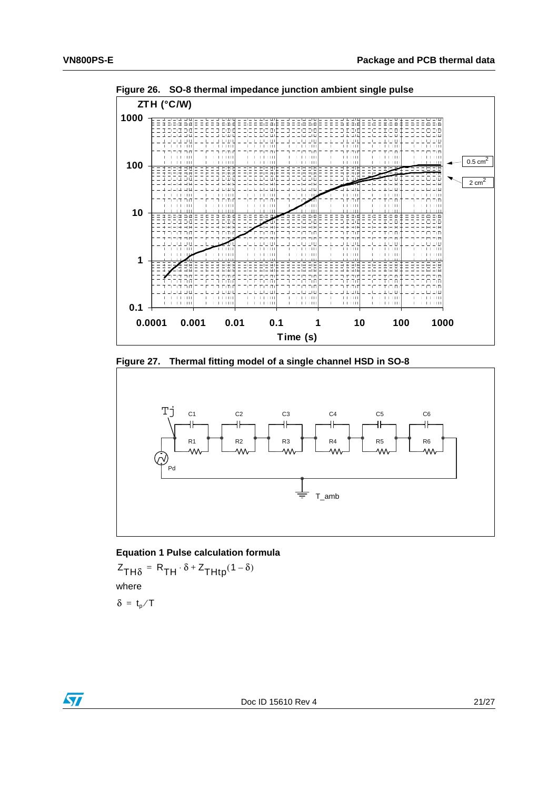

<span id="page-20-0"></span>**Figure 26. SO-8 thermal impedance junction ambient single pulse**

<span id="page-20-1"></span>**Figure 27. Thermal fitting model of a single channel HSD in SO-8**



**Equation 1 Pulse calculation formula**

where  $Z_{TH\delta} = R_{TH} \cdot \delta + Z_{THtp} (1 - \delta)$  $\delta = t_{\rm p} / T$ 

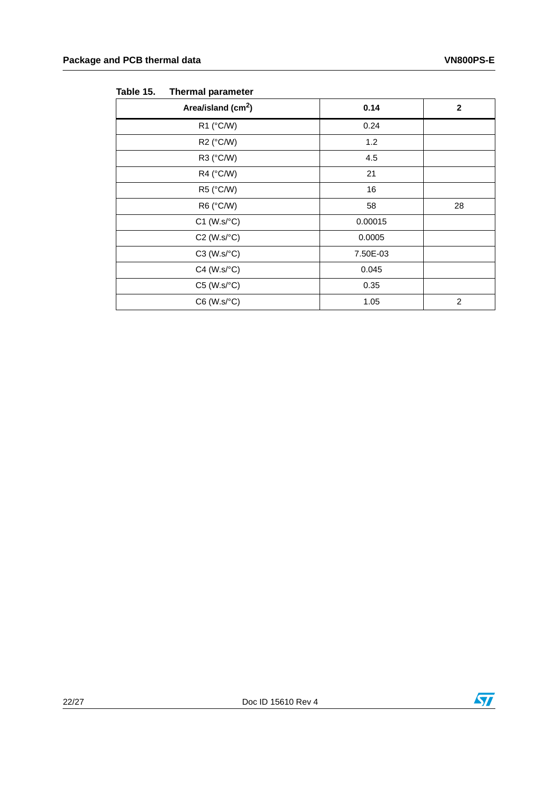| Area/island (cm <sup>2</sup> ) | 0.14     | $\mathbf{2}$   |
|--------------------------------|----------|----------------|
| R1 (°C/W)                      | 0.24     |                |
| R2 (°C/W)                      | 1.2      |                |
| R3 (°C/W)                      | 4.5      |                |
| R4 (°C/W)                      | 21       |                |
| R5 (°C/W)                      | 16       |                |
| R6 (°C/W)                      | 58       | 28             |
| $C1$ (W.s/ $°C$ )              | 0.00015  |                |
| $C2$ (W.s/ $°C$ )              | 0.0005   |                |
| $C3$ (W.s/ $\textdegree C$ )   | 7.50E-03 |                |
| $C4$ (W.s/ $°C$ )              | 0.045    |                |
| $C5$ (W.s/ $°C$ )              | 0.35     |                |
| $C6$ (W.s/ $°C$ )              | 1.05     | $\overline{c}$ |

<span id="page-21-0"></span>Table 15. **Thermal parameter** 

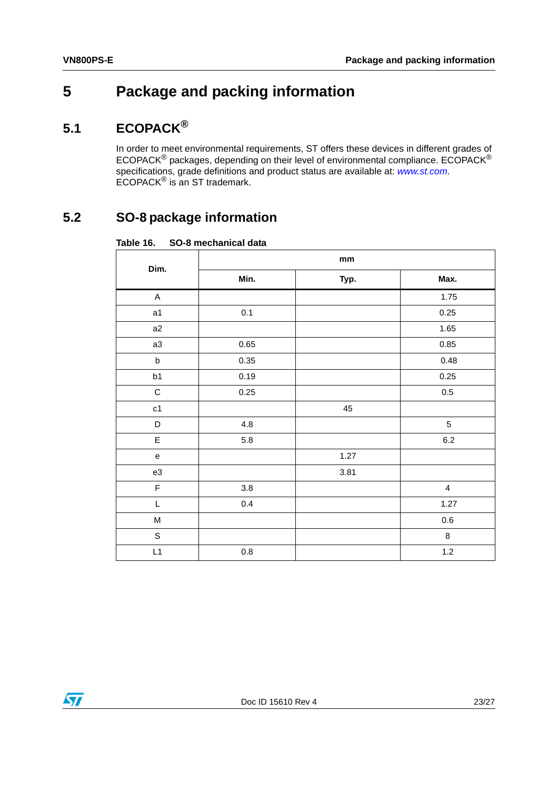# <span id="page-22-0"></span>**5 Package and packing information**

# <span id="page-22-1"></span>**5.1 ECOPACK®**

In order to meet environmental requirements, ST offers these devices in different grades of ECOPACK® packages, depending on their level of environmental compliance. ECOPACK® specifications, grade definitions and product status are available at: *[www.st.com](http://www.st.com)*. ECOPACK® is an ST trademark.

# <span id="page-22-2"></span>**5.2 SO-8 package information**

<span id="page-22-3"></span>

| Table 16. | SO-8 mechanical data |  |
|-----------|----------------------|--|
|           |                      |  |

| Dim.                              | $\mathop{\text{mm}}\nolimits$ |      |                         |  |
|-----------------------------------|-------------------------------|------|-------------------------|--|
|                                   | Min.                          | Typ. | Max.                    |  |
| A                                 |                               |      | 1.75                    |  |
| a1                                | 0.1                           |      | 0.25                    |  |
| a2                                |                               |      | 1.65                    |  |
| a3                                | 0.65                          |      | 0.85                    |  |
| $\sf b$                           | 0.35                          |      | 0.48                    |  |
| b1                                | 0.19                          |      | 0.25                    |  |
| $\mathsf C$                       | 0.25                          |      | $0.5\,$                 |  |
| c1                                |                               | 45   |                         |  |
| D                                 | $4.8\,$                       |      | $\,$ 5 $\,$             |  |
| E                                 | 5.8                           |      | $6.2\,$                 |  |
| $\mathsf{e}% _{t}\left( t\right)$ |                               | 1.27 |                         |  |
| e3                                |                               | 3.81 |                         |  |
| $\mathsf F$                       | $3.8\,$                       |      | $\overline{\mathbf{4}}$ |  |
| L                                 | $0.4\,$                       |      | 1.27                    |  |
| M                                 |                               |      | $0.6\,$                 |  |
| $\mathsf S$                       |                               |      | $\bf 8$                 |  |
| L1                                | $0.8\,$                       |      | $1.2$                   |  |

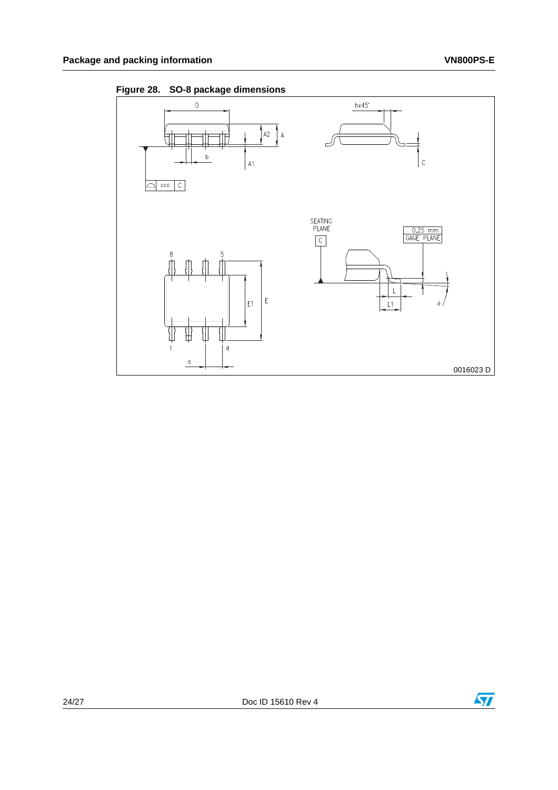

<span id="page-23-0"></span>**Figure 28. SO-8 package dimensions**

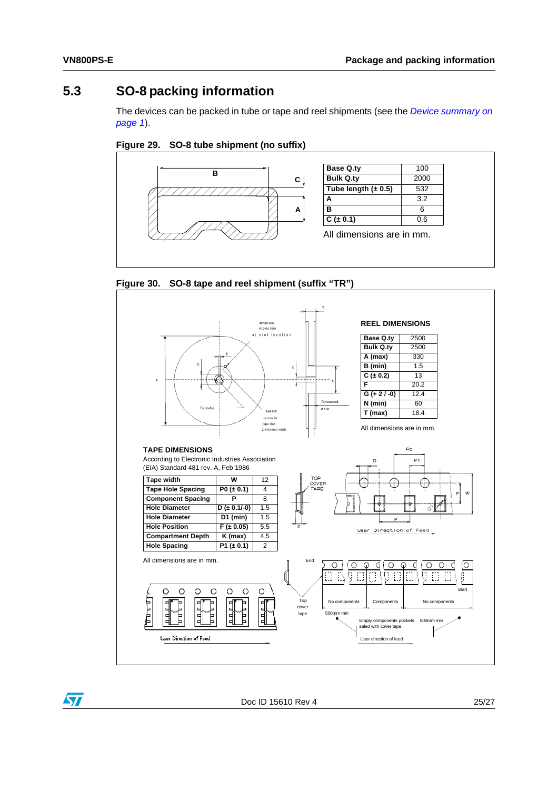## <span id="page-24-0"></span>**5.3 SO-8 packing information**

The devices can be packed in tube or tape and reel shipments (see the *[Device summary on](#page-0-1)  [page 1](#page-0-1)*).

<span id="page-24-1"></span>



| Base Q.ty               | 100  |
|-------------------------|------|
| <b>Bulk Q.ty</b>        | 2000 |
| Tube length $(\pm 0.5)$ | 532  |
| A                       | 3.2  |
| в                       | ิค   |
| $C (\pm 0.1)$           | 0.6  |

All dimensions are in mm.

<span id="page-24-2"></span>



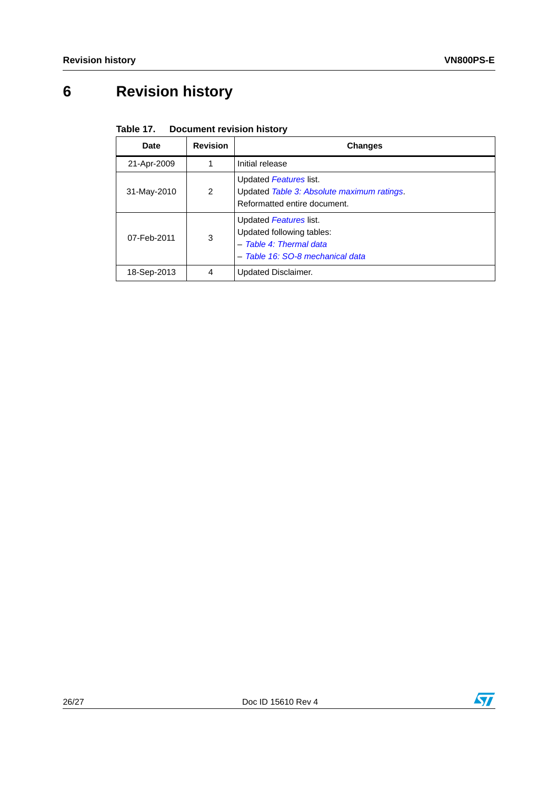# <span id="page-25-0"></span>**6 Revision history**

<span id="page-25-1"></span>

| Table 17. | <b>Document revision history</b> |  |  |
|-----------|----------------------------------|--|--|
|-----------|----------------------------------|--|--|

| Date        | <b>Revision</b> | <b>Changes</b>                                                                                                     |
|-------------|-----------------|--------------------------------------------------------------------------------------------------------------------|
| 21-Apr-2009 | 1               | Initial release                                                                                                    |
| 31-May-2010 | 2               | Updated Features list.<br>Updated Table 3: Absolute maximum ratings.<br>Reformatted entire document.               |
| 07-Feb-2011 | 3               | Updated Features list.<br>Updated following tables:<br>- Table 4: Thermal data<br>- Table 16: SO-8 mechanical data |
| 18-Sep-2013 | 4               | <b>Updated Disclaimer.</b>                                                                                         |